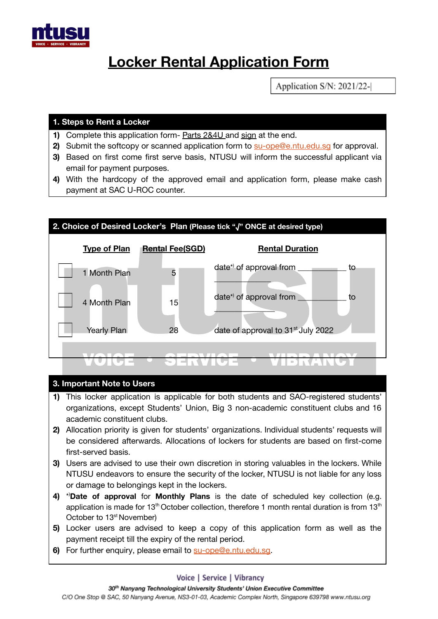

# **Locker Rental Application Form**

Application S/N: 2021/22-

# **1. Steps to Rent a Locker**

- **1)** Complete this application form- Parts 2&4U and sign at the end.
- **2)** Submit the softcopy or scanned application form to [su-ope@e.ntu.edu.sg](mailto:su-ope@e.ntu.edu.sg) for approval.
- **3)** Based on first come first serve basis, NTUSU will inform the successful applicant via email for payment purposes.
- **4)** With the hardcopy of the approved email and application form, please make cash payment at SAC U-ROC counter.



#### **3. Important Note to Users**

- **1)** This locker application is applicable for both students and SAO-registered students' organizations, except Students' Union, Big 3 non-academic constituent clubs and 16 academic constituent clubs.
- **2)** Allocation priority is given for students' organizations. Individual students' requests will be considered afterwards. Allocations of lockers for students are based on first-come first-served basis.
- **3)** Users are advised to use their own discretion in storing valuables in the lockers. While NTUSU endeavors to ensure the security of the locker, NTUSU is not liable for any loss or damage to belongings kept in the lockers.
- **4)** \* )**Date of approval** for **Monthly Plans** is the date of scheduled key collection (e.g. application is made for 13<sup>th</sup> October collection, therefore 1 month rental duration is from 13<sup>th</sup> October to 13<sup>st</sup> November)
- **5)** Locker users are advised to keep a copy of this application form as well as the payment receipt till the expiry of the rental period.
- **6)** For further enquiry, please email to [su-ope@e.ntu.edu.sg](mailto:su-ope@e.ntu.edu.sg).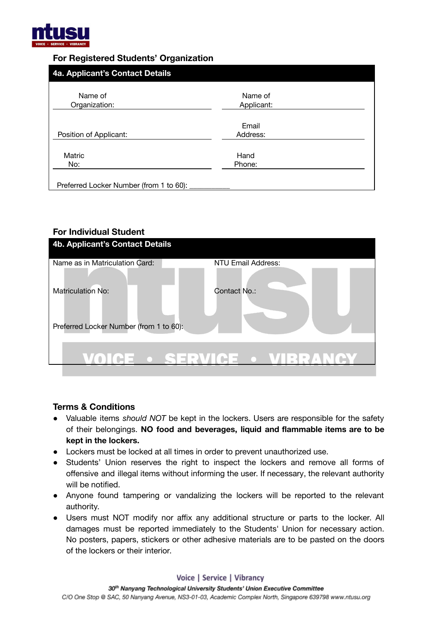

# **For Registered Students' Organization**

| 4a. Applicant's Contact Details         |                       |
|-----------------------------------------|-----------------------|
| Name of<br>Organization:                | Name of<br>Applicant: |
| Position of Applicant:                  | Email<br>Address:     |
| Matric<br>No:                           | Hand<br>Phone:        |
| Preferred Locker Number (from 1 to 60): |                       |

# **For Individual Student**

| 4b. Applicant's Contact Details         |                    |  |
|-----------------------------------------|--------------------|--|
| Name as in Matriculation Card:          | NTU Email Address: |  |
| <b>Matriculation No:</b>                | Contact No.:       |  |
| Preferred Locker Number (from 1 to 60): |                    |  |
|                                         |                    |  |

### **Terms & Conditions**

- **●** Valuable items *should NOT* be kept in the lockers. Users are responsible for the safety of their belongings. **NO food and beverages, liquid and flammable items are to be kept in the lockers.**
- **●** Lockers must be locked at all times in order to prevent unauthorized use.
- **●** Students' Union reserves the right to inspect the lockers and remove all forms of offensive and illegal items without informing the user. If necessary, the relevant authority will be notified.
- **●** Anyone found tampering or vandalizing the lockers will be reported to the relevant authority.
- **●** Users must NOT modify nor affix any additional structure or parts to the locker. All damages must be reported immediately to the Students' Union for necessary action. No posters, papers, stickers or other adhesive materials are to be pasted on the doors of the lockers or their interior.